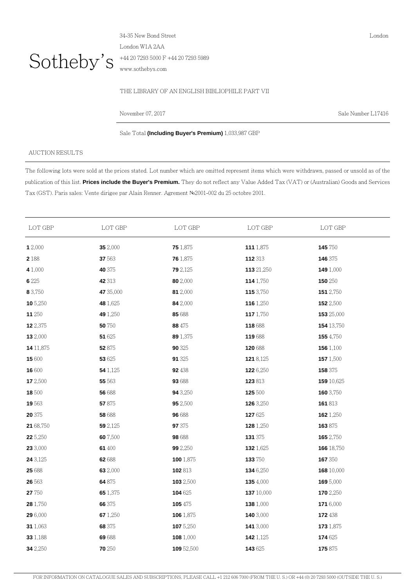

34-35 New Bond Street London W1A 2AA +44 20 7293 5000 F +44 20 7293 5989 www.sothebys.com

## THE LIBRARY OF AN ENGLISH BIBLIOPHILE PART VII

November 07, 2017 Sale Number L17416

London

Sale Total **(Including Buyer's Premium)** 1,033,987 GBP

## AUCTION RESULTS

The following lots were sold at the prices stated. Lot number which are omitted represent items which were withdrawn, passed or unsold as of the publication of this list. **Prices include the Buyer's Premium.** They do not reflect any Value Added Tax (VAT) or (Australian) Goods and Services Tax (GST). Paris sales: Vente dirigee par Alain Renner. Agrement №2001-002 du 25 octobre 2001.

| LOT GBP   | LOT GBP   | LOT GBP         | LOT GBP    | LOT GBP        |
|-----------|-----------|-----------------|------------|----------------|
| 12,000    | 35 2,000  | 75 1,875        | 111 1,875  | 145 750        |
| 2 1 8 8   | 37 563    | 76 1,875        | 112 313    | 146 375        |
| 4 1,000   | 40 375    | <b>79</b> 2,125 | 113 21,250 | 149 1,000      |
| 6 2 2 5   | 42 313    | 80 2,000        | 114 1,750  | <b>150</b> 250 |
| 8 3,750   | 47 35,000 | 81 2,000        | 115 3,750  | 151 2,750      |
| 10 5,250  | 48 1,625  | 84 2,000        | 116 1,250  | 152 2,500      |
| 11 250    | 49 1,250  | 85 688          | 117 1,750  | 153 25,000     |
| 12 2,375  | 50 750    | 88 475          | 118 688    | 154 13,750     |
| 13 2,000  | 51 625    | 89 1,375        | 119688     | 155 4,750      |
| 14 11,875 | 52 875    | 90 325          | 120 688    | 156 1,100      |
| 15 600    | 53 625    | 91 325          | 121 8,125  | 157 1,500      |
| 16 600    | 54 1,125  | 92 438          | 122 6,250  | 158 375        |
| 17 2,500  | 55 563    | 93 688          | 123 813    | 159 10,625     |
| 18 500    | 56 688    | 94 3,250        | 125 500    | 160 3,750      |
| 19 563    | 57875     | 95 2,500        | 126 3,250  | 161813         |
| 20 375    | 58 688    | 96 688          | 127 625    | 162 1,250      |
| 21 68,750 | 59 2,125  | 97 375          | 128 1,250  | 163875         |
| 22 5,250  | 60 7,500  | 98 688          | 131 375    | 165 2,750      |
| 23 3,000  | 61 400    | <b>99</b> 2,250 | 132 1,625  | 166 18,750     |
| 24 3,125  | 62688     | 100 1,875       | 133 750    | 167 350        |
| 25 688    | 63 2,000  | 102 813         | 134 6,250  | 168 10,000     |
| 26 563    | 64 875    | 103 2,500       | 1354,000   | 169 5,000      |
| 27 750    | 65 1,375  | 104 625         | 137 10,000 | 170 2,250      |
| 28 1,750  | 66 375    | 105 475         | 138 1,000  | 171 6,000      |
| 29 6,000  | 67 1,250  | 106 1,875       | 140 3,000  | 172438         |
| 31 1,063  | 68 375    | 107 5,250       | 141 3,000  | 173 1,875      |
| 33 1,188  | 69688     | 108 1,000       | 142 1,125  | 174 625        |
| 34 2,250  | 70 250    | 109 52,500      | 143 625    | 175875         |